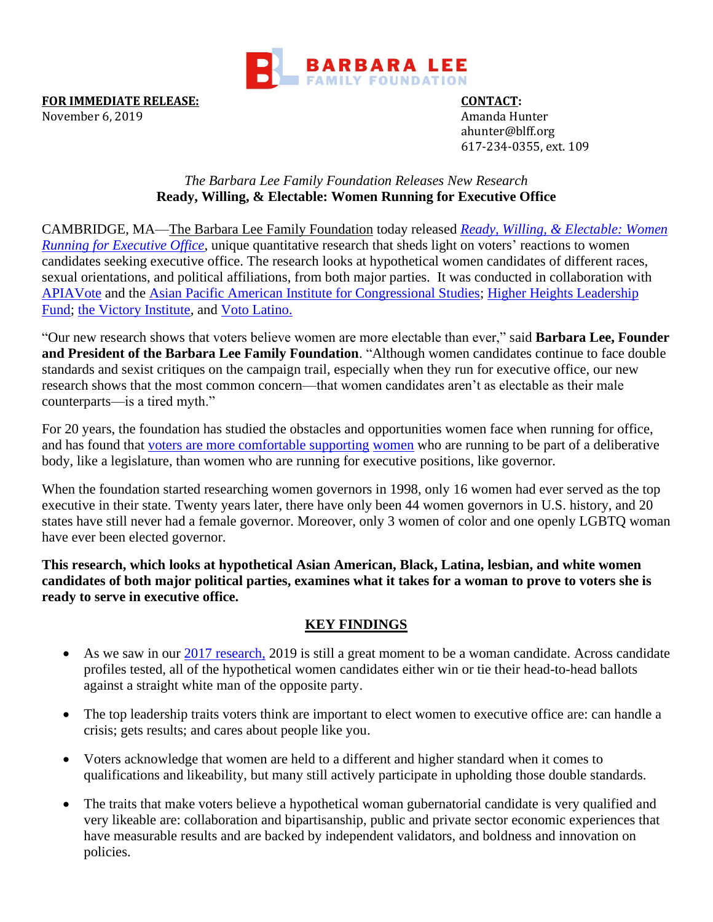

**FOR IMMEDIATE RELEASE: CONTACT:**

November 6, 2019 **Amanda Hunter** ahunter@blff.org 617-234-0355, ext. 109

### *The Barbara Lee Family Foundation Releases New Research* **Ready, Willing, & Electable: Women Running for Executive Office**

CAMBRIDGE, MA[—The Barbara Lee Family Foundation](http://www.barbaraleefoundation.org/) today released *Ready, Willing, [& Electable: Women](http://bit.ly/ReadyWillingElectable)  [Running for Executive Office,](http://bit.ly/ReadyWillingElectable)* unique quantitative research that sheds light on voters' reactions to women candidates seeking executive office. The research looks at hypothetical women candidates of different races, sexual orientations, and political affiliations, from both major parties. It was conducted in collaboration with [APIAVote](https://www.apiavote.org/) and the [Asian Pacific American Institute for Congressional Studies;](https://apaics.org/) [Higher Heights Leadership](http://www.higherheightsleadershipfund.org/)  [Fund;](http://www.higherheightsleadershipfund.org/) [the Victory Institute,](https://victoryinstitute.org/) and [Voto Latino.](https://votolatino.org/)

"Our new research shows that voters believe women are more electable than ever," said **Barbara Lee, Founder and President of the Barbara Lee Family Foundation**. "Although women candidates continue to face double standards and sexist critiques on the campaign trail, especially when they run for executive office, our new research shows that the most common concern—that women candidates aren't as electable as their male counterparts—is a tired myth."

For 20 years, the foundation has studied the obstacles and opportunities women face when running for office, and has found that [voters are more comfortable supporting](https://www.barbaraleefoundation.org/wp-content/uploads/The-Essential-Guide_20th-Anniversary.pdf) [women](https://www.barbaraleefoundation.org/wp-content/uploads/The-Essential-Guide_20th-Anniversary.pdf) who are running to be part of a deliberative body, like a legislature, than women who are running for executive positions, like governor.

When the foundation started researching women governors in 1998, only 16 women had ever served as the top executive in their state. Twenty years later, there have only been 44 women governors in U.S. history, and 20 states have still never had a female governor. Moreover, only 3 women of color and one openly LGBTQ woman have ever been elected governor.

**This research, which looks at hypothetical Asian American, Black, Latina, lesbian, and white women candidates of both major political parties, examines what it takes for a woman to prove to voters she is ready to serve in executive office.** 

# **KEY FINDINGS**

- As we saw in our [2017 research,](https://www.barbaraleefoundation.org/wp-content/uploads/OpportunityKnocks_10.24.17_Final.pdf) 2019 is still a great moment to be a woman candidate. Across candidate profiles tested, all of the hypothetical women candidates either win or tie their head-to-head ballots against a straight white man of the opposite party.
- The top leadership traits voters think are important to elect women to executive office are: can handle a crisis; gets results; and cares about people like you.
- Voters acknowledge that women are held to a different and higher standard when it comes to qualifications and likeability, but many still actively participate in upholding those double standards.
- The traits that make voters believe a hypothetical woman gubernatorial candidate is very qualified and very likeable are: collaboration and bipartisanship, public and private sector economic experiences that have measurable results and are backed by independent validators, and boldness and innovation on policies.